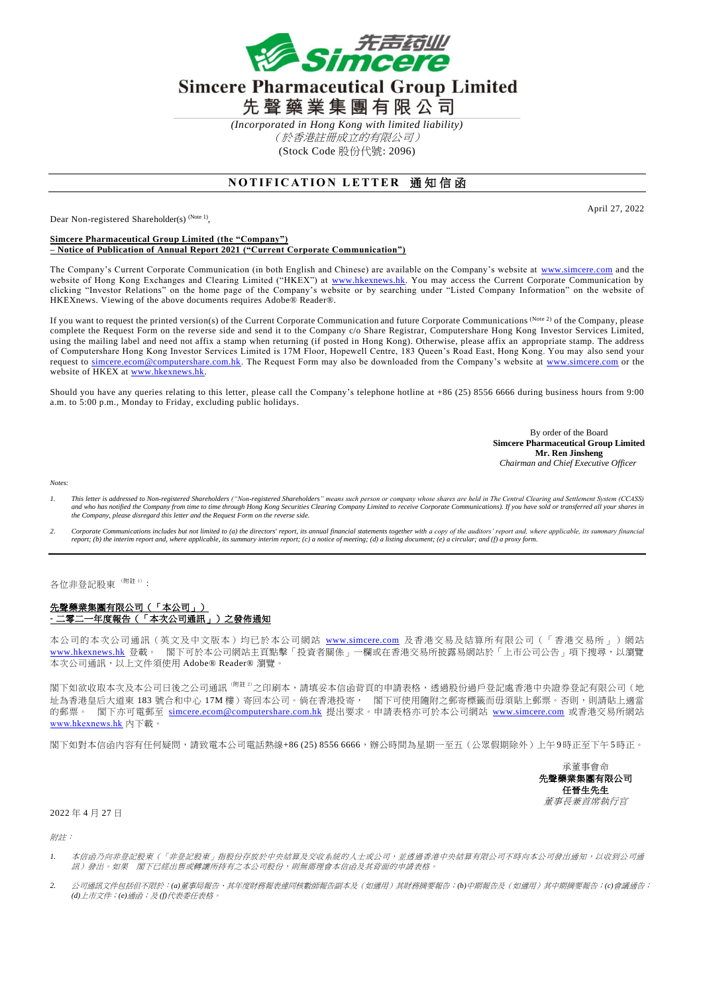

## **Simcere Pharmaceutical Group Limited** 先聲藥業集團有限公司

*(Incorporated in Hong Kong with limited liability)* (於香港註冊成立的有限公司) (Stock Code 股份代號: 2096)

## **NOTIFICATION LETTER 通知信函**

Dear Non-registered Shareholder(s) <sup>(Note 1)</sup>,

April 27, 2022

## **Simcere Pharmaceutical Group Limited (the "Company") – Notice of Publication of Annual Report 2021 ("Current Corporate Communication")**

The Company's Current Corporate Communication (in both English and Chinese) are available on the Company's website at [www.simcere.com](http://www.simcere.com/) and the website of Hong Kong Exchanges and Clearing Limited ("HKEX") at <u>www.hkexnews.hk</u>. You may access the Current Corporate Communication by clicking "Investor Relations" on the home page of the Company's website or by searching under "Listed Company Information" on the website of HKEXnews. Viewing of the above documents requires Adobe® Reader® .

If you want to request the printed version(s) of the Current Corporate Communication and future Corporate Communications (Note 2) of the Company, please complete the Request Form on the reverse side and send it to the Company c/o Share Registrar, Computershare Hong Kong Investor Services Limited, using the mailing label and need not affix a stamp when returning (if posted in Hong Kong). Otherwise, please affix an appropriate stamp. The address of Computershare Hong Kong Investor Services Limited is 17M Floor, Hopewell Centre, 183 Queen's Road East, Hong Kong. You may also send your request to [simcere.ecom@computershare.com.hk.](mailto:simcere.ecom@computershare.com.hk) The Request Form may also be downloaded from the Company's website at [www.simcere.com](http://www.simcere.com/) or the website of HKEX at [www.hkexnews.hk.](http://www.hkexnews.hk/)

Should you have any queries relating to this letter, please call the Company's telephone hotline at +86 (25) 8556 6666 during business hours from 9:00 a.m. to 5:00 p.m., Monday to Friday, excluding public holidays.

> By order of the Board **Simcere Pharmaceutical Group Limited Mr. Ren Jinsheng** *Chairman and Chief Executive Officer*

*Notes:*

- *1. This letter is addressed to Non-registered Shareholders ("Non-registered Shareholders" means such person or company whose shares are held in The Central Clearing and Settlement System (CCASS) and who has notified the Company from time to time through Hong Kong Securities Clearing Company Limited to receive Corporate Communications). If you have sold or transferred all your shares in the Company, please disregard this letter and the Request Form on the reverse side.*
- 2. Corporate Communications includes but not limited to (a) the directors' report, its annual financial statements together with a conv of the auditors' report and, where applicable, its summary financial *report; (b) the interim report and, where applicable, its summary interim report; (c) a notice of meeting; (d) a listing document; (e) a circular; and (f) a proxy form.*

各位非登記股東<sup>(附註1)</sup>:

## 先聲藥業集團有限公司(「本公司」) **-** 二零二一年度報告(「本次公司通訊」)之發佈通知

本公司的本次公司通訊(英文及中文版本)均已於本公司網站 [www.simcere.com](http://www.simcere.com/) 及香港交易及結算所有限公司(「香港交易所」)網站 [www.hkexnews.hk](http://www.hkexnews.hk/) 登載。 閣下可於本公司網站主頁點擊「投資者關係」一欄或在香港交易所披露易網站於「上市公司公告」項下搜尋,以瀏覽 本次公司通訊,以上文件須使用 Adobe® Reader® 瀏覽。

閣下如欲收取本次及本公司日後之公司通訊<sup>(附註 2)</sup>之印刷本,請填妥本信函背頁的申請表格,透過股份過戶登記處香港中央證券登記有限公司(地 址為香港皇后大道東 183 號合和中心 17M 樓) 寄回本公司。倘在香港投寄, 閻下可使用隨附之郵寄標籤而毋須貼上郵票。否則,則請貼上適當 的郵票。 閣下亦可電郵至 [simcere.ecom@computershare.com.hk](mailto:simcere.ecom@computershare.com.hk) 提出要求。申請表格亦可於本公司網站 [www.simcere.com](http://www.simcere.com/) 或香港交易所網站 [www.hkexnews.hk](http://www.hkexnews.hk/) 內下載。

閣下如對本信函內容有任何疑問,請致電本公司電話熱線+86 (25) 8556 6666,辦公時間為星期一至五(公眾假期除外)上午 9 時正至下午 5時正。

承董事會命 先聲藥業集團有限公司 任晉生先生 董事長兼首席執行官

2022 年 4 月 27 日

附註:

- *1.* 本信函乃向非登記股東(「非登記股東」指股份存放於中央結算及交收系統的人士或公司,並透過香港中央結算有限公司不時向本公司發出通知,以收到公司通 訊)發出。如果 閣下已經出售或轉讓所持有之本公司股份,則無需理會本信函及其背面的申請表格。
- *2.* 公司通訊文件包括但不限於:*(a)*董事局報告、其年度財務報表連同核數師報告副本及(如適用)其財務摘要報告;*(b)*中期報告及(如適用)其中期摘要報告;*(c)*會議通告; *(d)*上市文件;*(e)*通函;及 *(f)*代表委任表格。